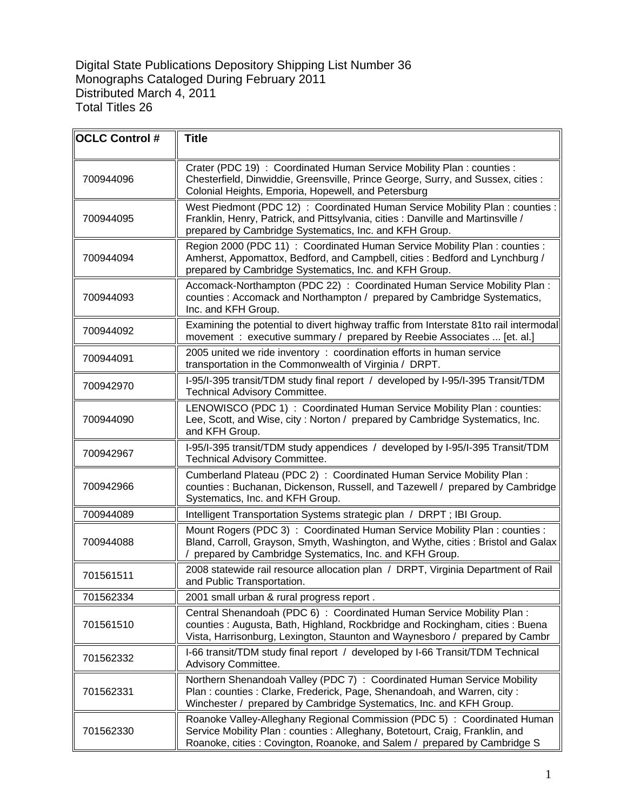Digital State Publications Depository Shipping List Number 36 Monographs Cataloged During February 2011 Distributed March 4, 2011 Total Titles 26

| <b>OCLC Control #</b> | <b>Title</b>                                                                                                                                                                                                                         |
|-----------------------|--------------------------------------------------------------------------------------------------------------------------------------------------------------------------------------------------------------------------------------|
| 700944096             | Crater (PDC 19) : Coordinated Human Service Mobility Plan : counties :<br>Chesterfield, Dinwiddie, Greensville, Prince George, Surry, and Sussex, cities :<br>Colonial Heights, Emporia, Hopewell, and Petersburg                    |
| 700944095             | West Piedmont (PDC 12) : Coordinated Human Service Mobility Plan : counties :<br>Franklin, Henry, Patrick, and Pittsylvania, cities : Danville and Martinsville /<br>prepared by Cambridge Systematics, Inc. and KFH Group.          |
| 700944094             | Region 2000 (PDC 11) : Coordinated Human Service Mobility Plan : counties :<br>Amherst, Appomattox, Bedford, and Campbell, cities: Bedford and Lynchburg /<br>prepared by Cambridge Systematics, Inc. and KFH Group.                 |
| 700944093             | Accomack-Northampton (PDC 22) : Coordinated Human Service Mobility Plan :<br>counties : Accomack and Northampton / prepared by Cambridge Systematics,<br>Inc. and KFH Group.                                                         |
| 700944092             | Examining the potential to divert highway traffic from Interstate 81to rail intermodal<br>movement : executive summary / prepared by Reebie Associates  [et. al.]                                                                    |
| 700944091             | 2005 united we ride inventory : coordination efforts in human service<br>transportation in the Commonwealth of Virginia / DRPT.                                                                                                      |
| 700942970             | I-95/I-395 transit/TDM study final report / developed by I-95/I-395 Transit/TDM<br><b>Technical Advisory Committee.</b>                                                                                                              |
| 700944090             | LENOWISCO (PDC 1) : Coordinated Human Service Mobility Plan : counties:<br>Lee, Scott, and Wise, city: Norton / prepared by Cambridge Systematics, Inc.<br>and KFH Group.                                                            |
| 700942967             | I-95/I-395 transit/TDM study appendices / developed by I-95/I-395 Transit/TDM<br>Technical Advisory Committee.                                                                                                                       |
| 700942966             | Cumberland Plateau (PDC 2) : Coordinated Human Service Mobility Plan :<br>counties: Buchanan, Dickenson, Russell, and Tazewell / prepared by Cambridge<br>Systematics, Inc. and KFH Group.                                           |
| 700944089             | Intelligent Transportation Systems strategic plan / DRPT; IBI Group.                                                                                                                                                                 |
| 700944088             | Mount Rogers (PDC 3): Coordinated Human Service Mobility Plan: counties:<br>Bland, Carroll, Grayson, Smyth, Washington, and Wythe, cities: Bristol and Galax<br>prepared by Cambridge Systematics, Inc. and KFH Group.               |
| 701561511             | 2008 statewide rail resource allocation plan / DRPT, Virginia Department of Rail<br>and Public Transportation.                                                                                                                       |
| 701562334             | 2001 small urban & rural progress report.                                                                                                                                                                                            |
| 701561510             | Central Shenandoah (PDC 6) : Coordinated Human Service Mobility Plan :<br>counties: Augusta, Bath, Highland, Rockbridge and Rockingham, cities: Buena<br>Vista, Harrisonburg, Lexington, Staunton and Waynesboro / prepared by Cambr |
| 701562332             | I-66 transit/TDM study final report / developed by I-66 Transit/TDM Technical<br>Advisory Committee.                                                                                                                                 |
| 701562331             | Northern Shenandoah Valley (PDC 7) : Coordinated Human Service Mobility<br>Plan: counties: Clarke, Frederick, Page, Shenandoah, and Warren, city:<br>Winchester / prepared by Cambridge Systematics, Inc. and KFH Group.             |
| 701562330             | Roanoke Valley-Alleghany Regional Commission (PDC 5) : Coordinated Human<br>Service Mobility Plan: counties: Alleghany, Botetourt, Craig, Franklin, and<br>Roanoke, cities: Covington, Roanoke, and Salem / prepared by Cambridge S  |